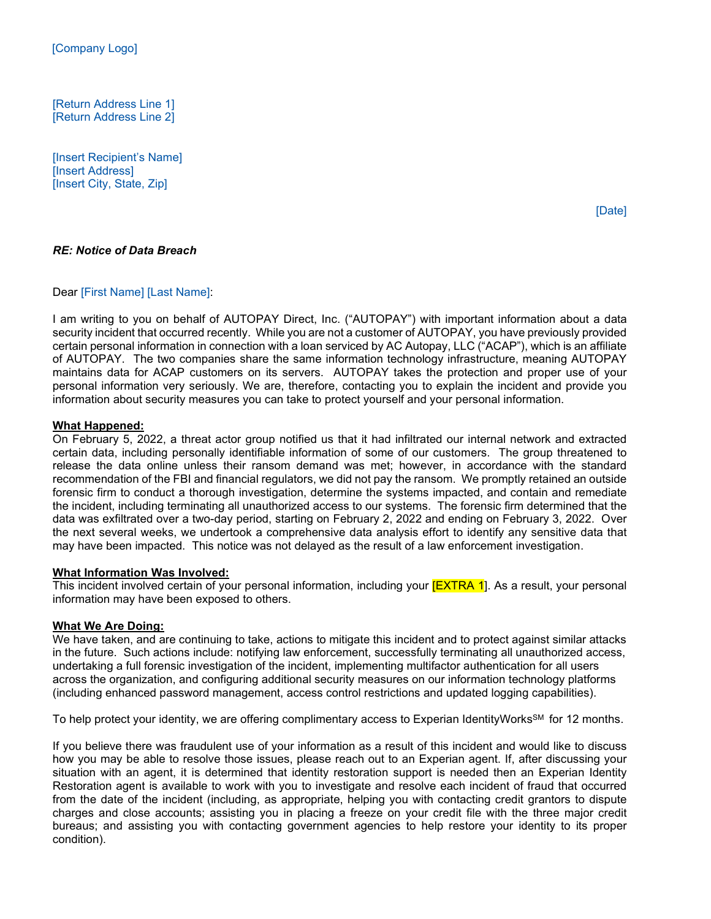[Return Address Line 1] [Return Address Line 2]

[Insert Recipient's Name] [Insert Address] [Insert City, State, Zip]

*RE: Notice of Data Breach*

#### Dear [First Name] [Last Name]:

I am writing to you on behalf of AUTOPAY Direct, Inc. ("AUTOPAY") with important information about a data security incident that occurred recently. While you are not a customer of AUTOPAY, you have previously provided certain personal information in connection with a loan serviced by AC Autopay, LLC ("ACAP"), which is an affiliate of AUTOPAY. The two companies share the same information technology infrastructure, meaning AUTOPAY maintains data for ACAP customers on its servers. AUTOPAY takes the protection and proper use of your personal information very seriously. We are, therefore, contacting you to explain the incident and provide you information about security measures you can take to protect yourself and your personal information.

#### **What Happened:**

On February 5, 2022, a threat actor group notified us that it had infiltrated our internal network and extracted certain data, including personally identifiable information of some of our customers. The group threatened to release the data online unless their ransom demand was met; however, in accordance with the standard recommendation of the FBI and financial regulators, we did not pay the ransom. We promptly retained an outside forensic firm to conduct a thorough investigation, determine the systems impacted, and contain and remediate the incident, including terminating all unauthorized access to our systems. The forensic firm determined that the data was exfiltrated over a two-day period, starting on February 2, 2022 and ending on February 3, 2022. Over the next several weeks, we undertook a comprehensive data analysis effort to identify any sensitive data that may have been impacted. This notice was not delayed as the result of a law enforcement investigation.

#### **What Information Was Involved:**

This incident involved certain of your personal information, including your **[EXTRA 1**]. As a result, your personal information may have been exposed to others.

### **What We Are Doing:**

We have taken, and are continuing to take, actions to mitigate this incident and to protect against similar attacks in the future. Such actions include: notifying law enforcement, successfully terminating all unauthorized access, undertaking a full forensic investigation of the incident, implementing multifactor authentication for all users across the organization, and configuring additional security measures on our information technology platforms (including enhanced password management, access control restrictions and updated logging capabilities).

To help protect your identity, we are offering complimentary access to Experian IdentityWorks<sup>SM</sup> for 12 months.

If you believe there was fraudulent use of your information as a result of this incident and would like to discuss how you may be able to resolve those issues, please reach out to an Experian agent. If, after discussing your situation with an agent, it is determined that identity restoration support is needed then an Experian Identity Restoration agent is available to work with you to investigate and resolve each incident of fraud that occurred from the date of the incident (including, as appropriate, helping you with contacting credit grantors to dispute charges and close accounts; assisting you in placing a freeze on your credit file with the three major credit bureaus; and assisting you with contacting government agencies to help restore your identity to its proper condition).

[Date]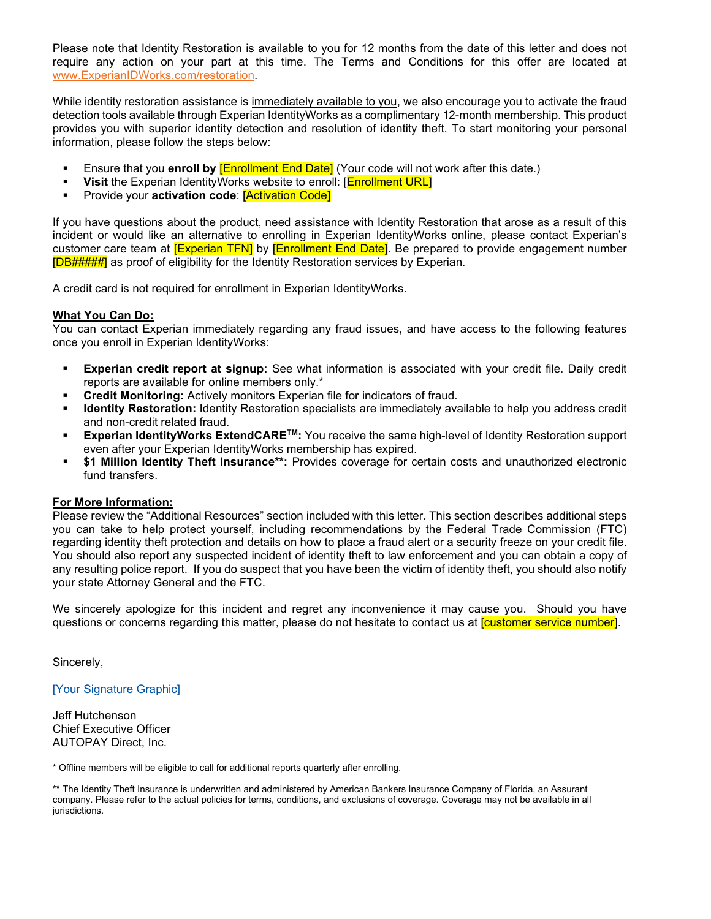Please note that Identity Restoration is available to you for 12 months from the date of this letter and does not require any action on your part at this time. The Terms and Conditions for this offer are located at [www.ExperianIDWorks.com/restoration.](http://www.experianidworks.com/restoration) 

While identity restoration assistance is immediately available to you, we also encourage you to activate the fraud detection tools available through Experian IdentityWorks as a complimentary 12-month membership. This product provides you with superior identity detection and resolution of identity theft. To start monitoring your personal information, please follow the steps below:

- Ensure that you **enroll by** [Enrollment End Date] (Your code will not work after this date.)
- **Visit** the Experian IdentityWorks website to enroll: [**Enrollment URL**]
- Provide your **activation code**: [Activation Code]

If you have questions about the product, need assistance with Identity Restoration that arose as a result of this incident or would like an alternative to enrolling in Experian IdentityWorks online, please contact Experian's customer care team at **[Experian TFN]** by **[Enrollment End Date]**. Be prepared to provide engagement number [DB#####] as proof of eligibility for the Identity Restoration services by Experian.

A credit card is not required for enrollment in Experian IdentityWorks.

#### **What You Can Do:**

You can contact Experian immediately regarding any fraud issues, and have access to the following features once you enroll in Experian IdentityWorks:

- **Experian credit report at signup:** See what information is associated with your credit file. Daily credit reports are available for online members only.\*
- **Credit Monitoring:** Actively monitors Experian file for indicators of fraud.
- **Identity Restoration:** Identity Restoration specialists are immediately available to help you address credit and non-credit related fraud.
- **Experian IdentityWorks ExtendCARETM:** You receive the same high-level of Identity Restoration support even after your Experian IdentityWorks membership has expired.
- **\$1 Million Identity Theft Insurance\*\*:** Provides coverage for certain costs and unauthorized electronic fund transfers.

#### **For More Information:**

Please review the "Additional Resources" section included with this letter. This section describes additional steps you can take to help protect yourself, including recommendations by the Federal Trade Commission (FTC) regarding identity theft protection and details on how to place a fraud alert or a security freeze on your credit file. You should also report any suspected incident of identity theft to law enforcement and you can obtain a copy of any resulting police report. If you do suspect that you have been the victim of identity theft, you should also notify your state Attorney General and the FTC.

We sincerely apologize for this incident and regret any inconvenience it may cause you. Should you have questions or concerns regarding this matter, please do not hesitate to contact us at **Customer service number**].

Sincerely,

[Your Signature Graphic]

Jeff Hutchenson Chief Executive Officer AUTOPAY Direct, Inc.

\* Offline members will be eligible to call for additional reports quarterly after enrolling.

\*\* The Identity Theft Insurance is underwritten and administered by American Bankers Insurance Company of Florida, an Assurant company. Please refer to the actual policies for terms, conditions, and exclusions of coverage. Coverage may not be available in all jurisdictions.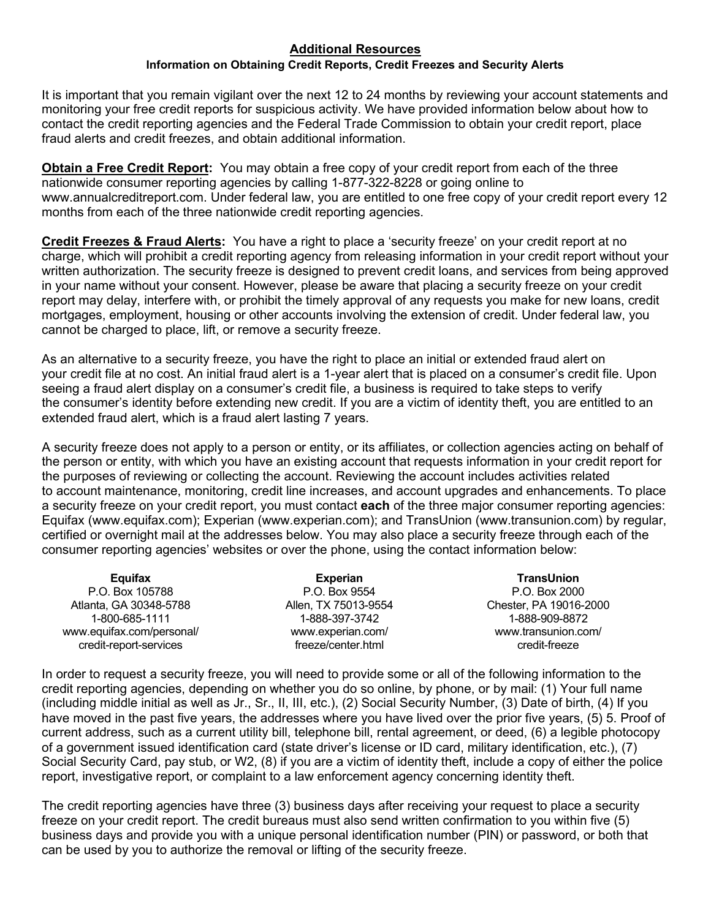# **Additional Resources**

## **Information on Obtaining Credit Reports, Credit Freezes and Security Alerts**

It is important that you remain vigilant over the next 12 to 24 months by reviewing your account statements and monitoring your free credit reports for suspicious activity. We have provided information below about how to contact the credit reporting agencies and the Federal Trade Commission to obtain your credit report, place fraud alerts and credit freezes, and obtain additional information.

**Obtain a Free Credit Report:** You may obtain a free copy of your credit report from each of the three nationwide consumer reporting agencies by calling 1-877-322-8228 or going online to www.annualcreditreport.com. Under federal law, you are entitled to one free copy of your credit report every 12 months from each of the three nationwide credit reporting agencies.

**Credit Freezes & Fraud Alerts:** You have a right to place a 'security freeze' on your credit report at no charge, which will prohibit a credit reporting agency from releasing information in your credit report without your written authorization. The security freeze is designed to prevent credit loans, and services from being approved in your name without your consent. However, please be aware that placing a security freeze on your credit report may delay, interfere with, or prohibit the timely approval of any requests you make for new loans, credit mortgages, employment, housing or other accounts involving the extension of credit. Under federal law, you cannot be charged to place, lift, or remove a security freeze.

As an alternative to a security freeze, you have the right to place an initial or extended fraud alert on your credit file at no cost. An initial fraud alert is a 1-year alert that is placed on a consumer's credit file. Upon seeing a fraud alert display on a consumer's credit file, a business is required to take steps to verify the consumer's identity before extending new credit. If you are a victim of identity theft, you are entitled to an extended fraud alert, which is a fraud alert lasting 7 years.

A security freeze does not apply to a person or entity, or its affiliates, or collection agencies acting on behalf of the person or entity, with which you have an existing account that requests information in your credit report for the purposes of reviewing or collecting the account. Reviewing the account includes activities related to account maintenance, monitoring, credit line increases, and account upgrades and enhancements. To place a security freeze on your credit report, you must contact **each** of the three major consumer reporting agencies: Equifax (www.equifax.com); Experian (www.experian.com); and TransUnion (www.transunion.com) by regular, certified or overnight mail at the addresses below. You may also place a security freeze through each of the consumer reporting agencies' websites or over the phone, using the contact information below:

| Equifax                   | <b>Experian</b>      | <b>TransUnion</b>      |
|---------------------------|----------------------|------------------------|
| P.O. Box 105788           | P.O. Box 9554        | P.O. Box 2000          |
| Atlanta, GA 30348-5788    | Allen, TX 75013-9554 | Chester, PA 19016-2000 |
| 1-800-685-1111            | 1-888-397-3742       | 1-888-909-8872         |
| www.equifax.com/personal/ | www.experian.com/    | www.transunion.com/    |
| credit-report-services    | freeze/center.html   | credit-freeze          |

In order to request a security freeze, you will need to provide some or all of the following information to the credit reporting agencies, depending on whether you do so online, by phone, or by mail: (1) Your full name (including middle initial as well as Jr., Sr., II, III, etc.), (2) Social Security Number, (3) Date of birth, (4) If you have moved in the past five years, the addresses where you have lived over the prior five years, (5) 5. Proof of current address, such as a current utility bill, telephone bill, rental agreement, or deed, (6) a legible photocopy of a government issued identification card (state driver's license or ID card, military identification, etc.), (7) Social Security Card, pay stub, or W2, (8) if you are a victim of identity theft, include a copy of either the police report, investigative report, or complaint to a law enforcement agency concerning identity theft.

The credit reporting agencies have three (3) business days after receiving your request to place a security freeze on your credit report. The credit bureaus must also send written confirmation to you within five (5) business days and provide you with a unique personal identification number (PIN) or password, or both that can be used by you to authorize the removal or lifting of the security freeze.